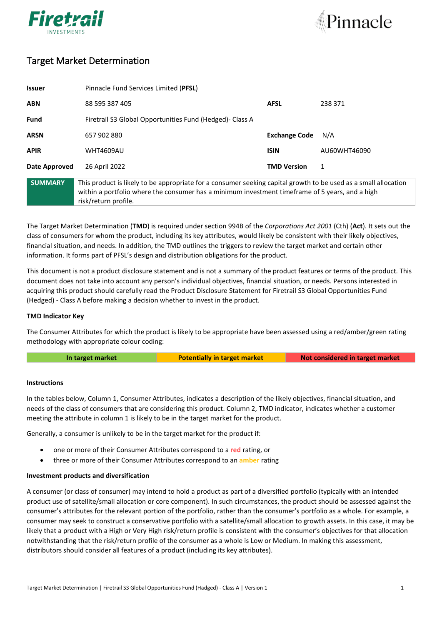



# Target Market Determination

| <b>Issuer</b>  | Pinnacle Fund Services Limited (PFSL)                                                                                                                                                                                                      |                      |              |
|----------------|--------------------------------------------------------------------------------------------------------------------------------------------------------------------------------------------------------------------------------------------|----------------------|--------------|
| <b>ABN</b>     | 88 595 387 405                                                                                                                                                                                                                             | <b>AFSL</b>          | 238 371      |
| <b>Fund</b>    | Firetrail S3 Global Opportunities Fund (Hedged)- Class A                                                                                                                                                                                   |                      |              |
| <b>ARSN</b>    | 657 902 880                                                                                                                                                                                                                                | <b>Exchange Code</b> | N/A          |
| <b>APIR</b>    | <b>WHT4609AU</b>                                                                                                                                                                                                                           | <b>ISIN</b>          | AU60WHT46090 |
| Date Approved  | 26 April 2022                                                                                                                                                                                                                              | <b>TMD Version</b>   | 1            |
| <b>SUMMARY</b> | This product is likely to be appropriate for a consumer seeking capital growth to be used as a small allocation<br>within a portfolio where the consumer has a minimum investment timeframe of 5 years, and a high<br>risk/return profile. |                      |              |

The Target Market Determination (**TMD**) is required under section 994B of the *Corporations Act 2001* (Cth) (**Act**). It sets out the class of consumers for whom the product, including its key attributes, would likely be consistent with their likely objectives, financial situation, and needs. In addition, the TMD outlines the triggers to review the target market and certain other information. It forms part of PFSL's design and distribution obligations for the product.

This document is not a product disclosure statement and is not a summary of the product features or terms of the product. This document does not take into account any person's individual objectives, financial situation, or needs. Persons interested in acquiring this product should carefully read the Product Disclosure Statement for Firetrail S3 Global Opportunities Fund (Hedged) - Class A before making a decision whether to invest in the product.

## **TMD Indicator Key**

The Consumer Attributes for which the product is likely to be appropriate have been assessed using a red/amber/green rating methodology with appropriate colour coding:

**In target market Potentially in target market Not considered in target market**

### **Instructions**

In the tables below, Column 1, Consumer Attributes, indicates a description of the likely objectives, financial situation, and needs of the class of consumers that are considering this product. Column 2, TMD indicator, indicates whether a customer meeting the attribute in column 1 is likely to be in the target market for the product.

Generally, a consumer is unlikely to be in the target market for the product if:

- one or more of their Consumer Attributes correspond to a **red** rating, or
- three or more of their Consumer Attributes correspond to an **amber** rating

### **Investment products and diversification**

A consumer (or class of consumer) may intend to hold a product as part of a diversified portfolio (typically with an intended product use of satellite/small allocation or core component). In such circumstances, the product should be assessed against the consumer's attributes for the relevant portion of the portfolio, rather than the consumer's portfolio as a whole. For example, a consumer may seek to construct a conservative portfolio with a satellite/small allocation to growth assets. In this case, it may be likely that a product with a High or Very High risk/return profile is consistent with the consumer's objectives for that allocation notwithstanding that the risk/return profile of the consumer as a whole is Low or Medium. In making this assessment, distributors should consider all features of a product (including its key attributes).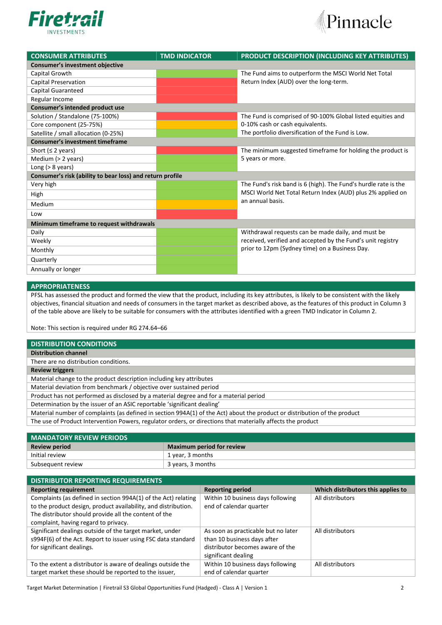



| <b>CONSUMER ATTRIBUTES</b>                                | <b>TMD INDICATOR</b> | PRODUCT DESCRIPTION (INCLUDING KEY ATTRIBUTES)                  |  |  |  |
|-----------------------------------------------------------|----------------------|-----------------------------------------------------------------|--|--|--|
| Consumer's investment objective                           |                      |                                                                 |  |  |  |
| Capital Growth                                            |                      | The Fund aims to outperform the MSCI World Net Total            |  |  |  |
| <b>Capital Preservation</b>                               |                      | Return Index (AUD) over the long-term.                          |  |  |  |
| Capital Guaranteed                                        |                      |                                                                 |  |  |  |
| Regular Income                                            |                      |                                                                 |  |  |  |
| Consumer's intended product use                           |                      |                                                                 |  |  |  |
| Solution / Standalone (75-100%)                           |                      | The Fund is comprised of 90-100% Global listed equities and     |  |  |  |
| Core component (25-75%)                                   |                      | 0-10% cash or cash equivalents.                                 |  |  |  |
| Satellite / small allocation (0-25%)                      |                      | The portfolio diversification of the Fund is Low.               |  |  |  |
| <b>Consumer's investment timeframe</b>                    |                      |                                                                 |  |  |  |
| Short ( $\leq$ 2 years)                                   |                      | The minimum suggested timeframe for holding the product is      |  |  |  |
| Medium (> 2 years)                                        |                      | 5 years or more.                                                |  |  |  |
| Long $(> 8$ years)                                        |                      |                                                                 |  |  |  |
| Consumer's risk (ability to bear loss) and return profile |                      |                                                                 |  |  |  |
| Very high                                                 |                      | The Fund's risk band is 6 (high). The Fund's hurdle rate is the |  |  |  |
| High                                                      |                      | MSCI World Net Total Return Index (AUD) plus 2% applied on      |  |  |  |
| Medium                                                    |                      | an annual basis.                                                |  |  |  |
| Low                                                       |                      |                                                                 |  |  |  |
| Minimum timeframe to request withdrawals                  |                      |                                                                 |  |  |  |
| Daily                                                     |                      | Withdrawal requests can be made daily, and must be              |  |  |  |
| Weekly                                                    |                      | received, verified and accepted by the Fund's unit registry     |  |  |  |
| Monthly                                                   |                      | prior to 12pm (Sydney time) on a Business Day.                  |  |  |  |
| Quarterly                                                 |                      |                                                                 |  |  |  |
| Annually or longer                                        |                      |                                                                 |  |  |  |

### **APPROPRIATENESS**

PFSL has assessed the product and formed the view that the product, including its key attributes, is likely to be consistent with the likely objectives, financial situation and needs of consumers in the target market as described above, as the features of this product in Column 3 of the table above are likely to be suitable for consumers with the attributes identified with a green TMD Indicator in Column 2.

Note: This section is required under RG 274.64–66

| <b>DISTRIBUTION CONDITIONS</b>                                                                                            |
|---------------------------------------------------------------------------------------------------------------------------|
| <b>Distribution channel</b>                                                                                               |
| There are no distribution conditions.                                                                                     |
| <b>Review triggers</b>                                                                                                    |
| Material change to the product description including key attributes                                                       |
| Material deviation from benchmark / objective over sustained period                                                       |
| Product has not performed as disclosed by a material degree and for a material period                                     |
| Determination by the issuer of an ASIC reportable 'significant dealing'                                                   |
| Material number of complaints (as defined in section 994A(1) of the Act) about the product or distribution of the product |
| The use of Product Intervention Powers, regulator orders, or directions that materially affects the product               |

| <b>MANDATORY REVIEW PERIODS</b> |                                  |  |
|---------------------------------|----------------------------------|--|
| <b>Review period</b>            | <b>Maximum period for review</b> |  |
| Initial review                  | 1 year, 3 months                 |  |
| Subsequent review               | 3 years, 3 months                |  |

| <b>DISTRIBUTOR REPORTING REQUIREMENTS</b>                                                                                                                                                                                         |                                                                                                                               |                                    |  |
|-----------------------------------------------------------------------------------------------------------------------------------------------------------------------------------------------------------------------------------|-------------------------------------------------------------------------------------------------------------------------------|------------------------------------|--|
| <b>Reporting requirement</b>                                                                                                                                                                                                      | <b>Reporting period</b>                                                                                                       | Which distributors this applies to |  |
| Complaints (as defined in section 994A(1) of the Act) relating<br>to the product design, product availability, and distribution.<br>The distributor should provide all the content of the<br>complaint, having regard to privacy. | Within 10 business days following<br>end of calendar quarter                                                                  | All distributors                   |  |
| Significant dealings outside of the target market, under<br>s994F(6) of the Act. Report to issuer using FSC data standard<br>for significant dealings.                                                                            | As soon as practicable but no later<br>than 10 business days after<br>distributor becomes aware of the<br>significant dealing | All distributors                   |  |
| To the extent a distributor is aware of dealings outside the<br>target market these should be reported to the issuer,                                                                                                             | Within 10 business days following<br>end of calendar quarter                                                                  | All distributors                   |  |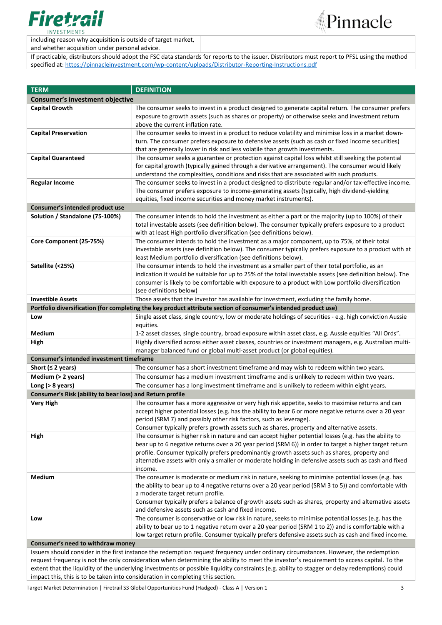

including reason why acquisition is outside of target market,



and whether acquisition under personal advice.

If practicable, distributors should adopt the FSC data standards for reports to the issuer. Distributors must report to PFSL using the method specified at: [https://pinnacleinvestment.com/wp-content/uploads/Distributor-Reporting-Instructions.pdf](https://aus01.safelinks.protection.outlook.com/?url=https%3A%2F%2Fpinnacleinvestment.com%2Fwp-content%2Fuploads%2FDistributor-Reporting-Instructions.pdf&data=04%7C01%7CRobbie.Zhong%40pinnacleinvestment.com%7Cb4c1b788df954b03f26408d9675577fa%7C35cf8e31ecbc469399faa3d4d4dbd0de%7C0%7C0%7C637654439063852174%7CUnknown%7CTWFpbGZsb3d8eyJWIjoiMC4wLjAwMDAiLCJQIjoiV2luMzIiLCJBTiI6Ik1haWwiLCJXVCI6Mn0%3D%7C1000&sdata=z3%2BDpshdl6t4wDnSgUIdZS0YIuaCk9GXg1FCwIAbEV4%3D&reserved=0)

| <b>TERM</b>                                                                                                                               | <b>DEFINITION</b>                                                                                                                                                                                                  |  |  |  |
|-------------------------------------------------------------------------------------------------------------------------------------------|--------------------------------------------------------------------------------------------------------------------------------------------------------------------------------------------------------------------|--|--|--|
| <b>Consumer's investment objective</b>                                                                                                    |                                                                                                                                                                                                                    |  |  |  |
| <b>Capital Growth</b>                                                                                                                     | The consumer seeks to invest in a product designed to generate capital return. The consumer prefers                                                                                                                |  |  |  |
|                                                                                                                                           | exposure to growth assets (such as shares or property) or otherwise seeks and investment return                                                                                                                    |  |  |  |
|                                                                                                                                           | above the current inflation rate.                                                                                                                                                                                  |  |  |  |
| <b>Capital Preservation</b>                                                                                                               | The consumer seeks to invest in a product to reduce volatility and minimise loss in a market down-                                                                                                                 |  |  |  |
|                                                                                                                                           | turn. The consumer prefers exposure to defensive assets (such as cash or fixed income securities)                                                                                                                  |  |  |  |
|                                                                                                                                           | that are generally lower in risk and less volatile than growth investments.                                                                                                                                        |  |  |  |
| <b>Capital Guaranteed</b>                                                                                                                 | The consumer seeks a guarantee or protection against capital loss whilst still seeking the potential                                                                                                               |  |  |  |
|                                                                                                                                           | for capital growth (typically gained through a derivative arrangement). The consumer would likely                                                                                                                  |  |  |  |
|                                                                                                                                           | understand the complexities, conditions and risks that are associated with such products.                                                                                                                          |  |  |  |
| <b>Regular Income</b>                                                                                                                     | The consumer seeks to invest in a product designed to distribute regular and/or tax-effective income.                                                                                                              |  |  |  |
|                                                                                                                                           | The consumer prefers exposure to income-generating assets (typically, high dividend-yielding                                                                                                                       |  |  |  |
|                                                                                                                                           | equities, fixed income securities and money market instruments).                                                                                                                                                   |  |  |  |
| Consumer's intended product use                                                                                                           |                                                                                                                                                                                                                    |  |  |  |
| Solution / Standalone (75-100%)                                                                                                           | The consumer intends to hold the investment as either a part or the majority (up to 100%) of their<br>total investable assets (see definition below). The consumer typically prefers exposure to a product         |  |  |  |
|                                                                                                                                           | with at least High portfolio diversification (see definitions below).                                                                                                                                              |  |  |  |
| Core Component (25-75%)                                                                                                                   | The consumer intends to hold the investment as a major component, up to 75%, of their total                                                                                                                        |  |  |  |
|                                                                                                                                           | investable assets (see definition below). The consumer typically prefers exposure to a product with at                                                                                                             |  |  |  |
|                                                                                                                                           | least Medium portfolio diversification (see definitions below).                                                                                                                                                    |  |  |  |
| Satellite (<25%)                                                                                                                          | The consumer intends to hold the investment as a smaller part of their total portfolio, as an                                                                                                                      |  |  |  |
|                                                                                                                                           | indication it would be suitable for up to 25% of the total investable assets (see definition below). The                                                                                                           |  |  |  |
|                                                                                                                                           | consumer is likely to be comfortable with exposure to a product with Low portfolio diversification                                                                                                                 |  |  |  |
|                                                                                                                                           | (see definitions below)                                                                                                                                                                                            |  |  |  |
| <b>Investible Assets</b>                                                                                                                  | Those assets that the investor has available for investment, excluding the family home.                                                                                                                            |  |  |  |
|                                                                                                                                           | Portfolio diversification (for completing the key product attribute section of consumer's intended product use)                                                                                                    |  |  |  |
| Low                                                                                                                                       | Single asset class, single country, low or moderate holdings of securities - e.g. high conviction Aussie                                                                                                           |  |  |  |
|                                                                                                                                           | equities.                                                                                                                                                                                                          |  |  |  |
| Medium                                                                                                                                    | 1-2 asset classes, single country, broad exposure within asset class, e.g. Aussie equities "All Ords".<br>Highly diversified across either asset classes, countries or investment managers, e.g. Australian multi- |  |  |  |
| High                                                                                                                                      | manager balanced fund or global multi-asset product (or global equities).                                                                                                                                          |  |  |  |
| Consumer's intended investment timeframe                                                                                                  |                                                                                                                                                                                                                    |  |  |  |
| Short ( $\leq$ 2 years)                                                                                                                   | The consumer has a short investment timeframe and may wish to redeem within two years.                                                                                                                             |  |  |  |
| Medium (> 2 years)                                                                                                                        | The consumer has a medium investment timeframe and is unlikely to redeem within two years.                                                                                                                         |  |  |  |
| Long $(>8 \text{ years})$                                                                                                                 | The consumer has a long investment timeframe and is unlikely to redeem within eight years.                                                                                                                         |  |  |  |
| Consumer's Risk (ability to bear loss) and Return profile                                                                                 |                                                                                                                                                                                                                    |  |  |  |
| <b>Very High</b>                                                                                                                          | The consumer has a more aggressive or very high risk appetite, seeks to maximise returns and can                                                                                                                   |  |  |  |
|                                                                                                                                           | accept higher potential losses (e.g. has the ability to bear 6 or more negative returns over a 20 year                                                                                                             |  |  |  |
|                                                                                                                                           | period (SRM 7) and possibly other risk factors, such as leverage).                                                                                                                                                 |  |  |  |
|                                                                                                                                           | Consumer typically prefers growth assets such as shares, property and alternative assets.                                                                                                                          |  |  |  |
| High                                                                                                                                      | The consumer is higher risk in nature and can accept higher potential losses (e.g. has the ability to                                                                                                              |  |  |  |
|                                                                                                                                           | bear up to 6 negative returns over a 20 year period (SRM 6)) in order to target a higher target return                                                                                                             |  |  |  |
|                                                                                                                                           | profile. Consumer typically prefers predominantly growth assets such as shares, property and                                                                                                                       |  |  |  |
|                                                                                                                                           | alternative assets with only a smaller or moderate holding in defensive assets such as cash and fixed<br>income.                                                                                                   |  |  |  |
| Medium                                                                                                                                    | The consumer is moderate or medium risk in nature, seeking to minimise potential losses (e.g. has                                                                                                                  |  |  |  |
|                                                                                                                                           | the ability to bear up to 4 negative returns over a 20 year period (SRM 3 to 5)) and comfortable with                                                                                                              |  |  |  |
|                                                                                                                                           | a moderate target return profile.                                                                                                                                                                                  |  |  |  |
|                                                                                                                                           | Consumer typically prefers a balance of growth assets such as shares, property and alternative assets                                                                                                              |  |  |  |
|                                                                                                                                           | and defensive assets such as cash and fixed income.                                                                                                                                                                |  |  |  |
| Low                                                                                                                                       | The consumer is conservative or low risk in nature, seeks to minimise potential losses (e.g. has the                                                                                                               |  |  |  |
|                                                                                                                                           | ability to bear up to 1 negative return over a 20 year period (SRM 1 to 2)) and is comfortable with a                                                                                                              |  |  |  |
|                                                                                                                                           | low target return profile. Consumer typically prefers defensive assets such as cash and fixed income.                                                                                                              |  |  |  |
| Consumer's need to withdraw money                                                                                                         |                                                                                                                                                                                                                    |  |  |  |
|                                                                                                                                           | Issuers should consider in the first instance the redemption request frequency under ordinary circumstances. However, the redemption                                                                               |  |  |  |
| request frequency is not the only consideration when determining the ability to meet the investor's requirement to access capital. To the |                                                                                                                                                                                                                    |  |  |  |

extent that the liquidity of the underlying investments or possible liquidity constraints (e.g. ability to stagger or delay redemptions) could impact this, this is to be taken into consideration in completing this section.